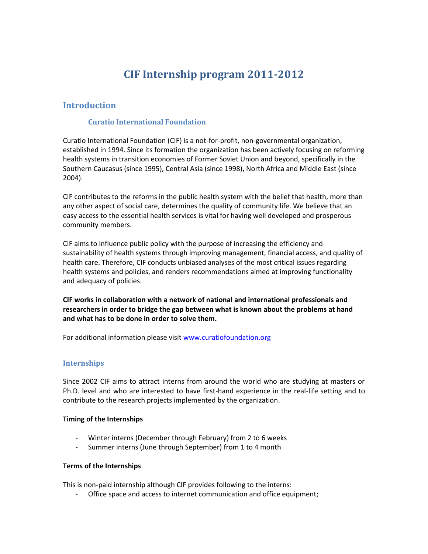## CIFInternship program 122011

### Introduction

### Curatio International Foundation

Curatio International Foundia-pircon fit Gon Elonian anot tal organization, established in 1994. Since its formation the organization has beer health systems in transition economies epyformed in the formed in the notated in the specifical b end on the sp Southern Caucasus (since 1995), Central Asia (since 1998), North 2004).

CIF contributes to the reforms in the public health system with the any other aspectared, sobectional mines the quality of community life. We easy access to the essential health services is vital for having we community members.

CIF aims to influence public policy with fine enuary casned of increasing sustainability of health systems through improving management, fi health care. Therefore, CIF conducts unbiased analyses of the mo health systems and policies, and nise admeest reet communement at integrationality and adequacy of policies.

CIF works in collaboration with a network of national and international researchers in order to bridge the gap between what is known abo and what ohe done in order to solve them.

For additional information please bot wisht dation.org

#### Internships

Since 2002 CIF aims to attract interns from around the world wh Ph.D. level and who are intehreensdeed x poe rhear wee finites to trience and to contribute to the research projects implemented by the organization

Timing of the Internships

- Winterter pecember ough February) from 2 to 6 weeks
- Summer interns (June through September) from 1 to 4 month

Terms of the Internships

This ispaid internship although CIF provides following to the inter - Oftie space and access to internet communication and office e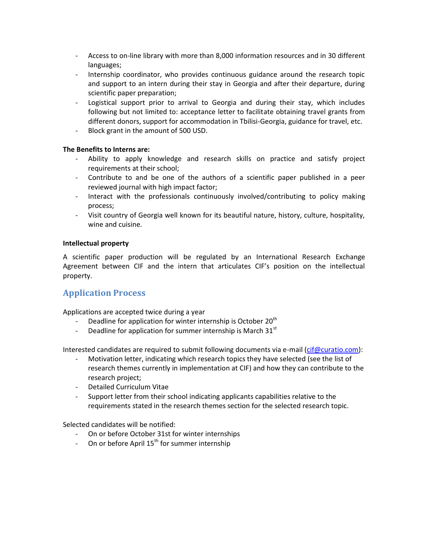- Access -lion on dibraryo we it tham  $8,000$  inform and idm  $30$  sobiufferens and languages ;
- Internship coordinator, who provides continuous guidance ar andupport to an intern during their stay in Georgia and after scientific paper preparation;
- Logistical support prior to arrival to Georgia and during the following but not limited to: acceet petaorbote ineintogent rabovel at coginatinity fr different donors, support for  $a \in G$  emmodal a tripind  $a$  m  $\bar{c}$  to  $f$  ld  $s$  it ravel,  $\epsilon$
- Block grant in the amount of 500 USD.

The Benefits to Interns are:

- Ability to apply knowledge samodh mersaecanimode ssaktiilsify project requirements at their school;
- Contribute to and be one of the authors of a scientific paper published in a percent in a percent in a percent reviewed journal with high impact factor;
- Interact with the professionals continuously invodved/contri process;
- Visit country of Georgia well known for its beautiful nature, I wine and cuisine.

Intellectual property

A scientific paper production will the enateigounland tered esbey arach In that chan Agreement between CIF and the intern that articulates CIF s p property.

## Application Process

Applications are accepted twice during a year

- Deadline for application for wint $2\theta$  internship is October
- Deadline for application for summ<sup>gi</sup>r internship is March 31

Interested candidates are required to submmatic tipe  $\alpha$  wia g)  $\alpha$  comments

- Motivation letter, indicating whe wo the arease searlight theodoxi(csse oth the list of research themes currently in implementation at CIF) and how research project;
- Detailed Curriculum Vitae
- Support letter from their school indicating applicants capabili requirents stated in the research themes section for the selected

Selected candidates will be notified:

- On or before October 31st for winter internships
- On or before<sup>th</sup> Aloperistum 5 mer internship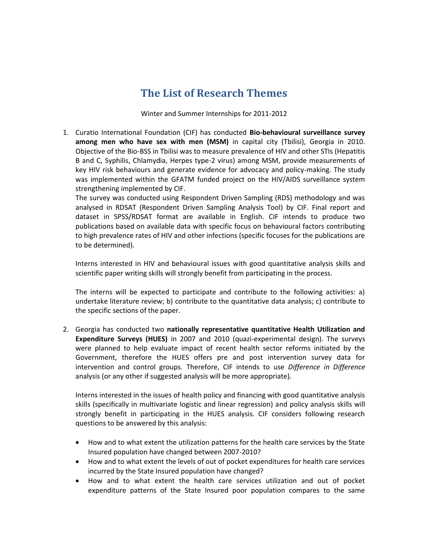# **The List of Research Themes**

Winter and Summer Internships for 2011-2012

1. Curatio International Foundation (CIF) has conducted **Bio-behavioural surveillance survey among men who have sex with men (MSM)** in capital city (Tbilisi), Georgia in 2010. Objective of the Bio-BSS in Tbilisi was to measure prevalence of HIV and other STIs (Hepatitis B and C, Syphilis, Chlamydia, Herpes type-2 virus) among MSM, provide measurements of key HIV risk behaviours and generate evidence for advocacy and policy-making. The study was implemented within the GFATM funded project on the HIV/AIDS surveillance system strengthening implemented by CIF.

The survey was conducted using Respondent Driven Sampling (RDS) methodology and was analysed in RDSAT (Respondent Driven Sampling Analysis Tool) by CIF. Final report and dataset in SPSS/RDSAT format are available in English. CIF intends to produce two publications based on available data with specific focus on behavioural factors contributing to high prevalence rates of HIV and other infections (specific focuses for the publications are to be determined).

Interns interested in HIV and behavioural issues with good quantitative analysis skills and scientific paper writing skills will strongly benefit from participating in the process.

The interns will be expected to participate and contribute to the following activities: a) undertake literature review; b) contribute to the quantitative data analysis; c) contribute to the specific sections of the paper.

2. Georgia has conducted two **nationally representative quantitative Health Utilization and Expenditure Surveys (HUES)** in 2007 and 2010 (quazi-experimental design). The surveys were planned to help evaluate impact of recent health sector reforms initiated by the Government, therefore the HUES offers pre and post intervention survey data for intervention and control groups. Therefore, CIF intends to use *Difference in Difference* analysis (or any other if suggested analysis will be more appropriate).

Interns interested in the issues of health policy and financing with good quantitative analysis skills (specifically in multivariate logistic and linear regression) and policy analysis skills will strongly benefit in participating in the HUES analysis. CIF considers following research questions to be answered by this analysis:

- How and to what extent the utilization patterns for the health care services by the State Insured population have changed between 2007-2010?
- How and to what extent the levels of out of pocket expenditures for health care services incurred by the State Insured population have changed?
- How and to what extent the health care services utilization and out of pocket expenditure patterns of the State Insured poor population compares to the same